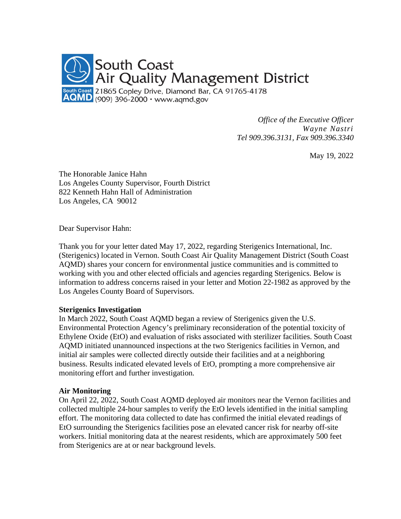

*Office of the Executive Officer Wayne Nastri Tel 909.396.3131, Fax 909.396.3340*

May 19, 2022

The Honorable Janice Hahn Los Angeles County Supervisor, Fourth District 822 Kenneth Hahn Hall of Administration Los Angeles, CA 90012

Dear Supervisor Hahn:

Thank you for your letter dated May 17, 2022, regarding Sterigenics International, Inc. (Sterigenics) located in Vernon. South Coast Air Quality Management District (South Coast AQMD) shares your concern for environmental justice communities and is committed to working with you and other elected officials and agencies regarding Sterigenics. Below is information to address concerns raised in your letter and Motion 22-1982 as approved by the Los Angeles County Board of Supervisors.

#### **Sterigenics Investigation**

In March 2022, South Coast AQMD began a review of Sterigenics given the U.S. Environmental Protection Agency's preliminary reconsideration of the potential toxicity of Ethylene Oxide (EtO) and evaluation of risks associated with sterilizer facilities. South Coast AQMD initiated unannounced inspections at the two Sterigenics facilities in Vernon, and initial air samples were collected directly outside their facilities and at a neighboring business. Results indicated elevated levels of EtO, prompting a more comprehensive air monitoring effort and further investigation.

#### **Air Monitoring**

On April 22, 2022, South Coast AQMD deployed air monitors near the Vernon facilities and collected multiple 24-hour samples to verify the EtO levels identified in the initial sampling effort. The monitoring data collected to date has confirmed the initial elevated readings of EtO surrounding the Sterigenics facilities pose an elevated cancer risk for nearby off-site workers. Initial monitoring data at the nearest residents, which are approximately 500 feet from Sterigenics are at or near background levels.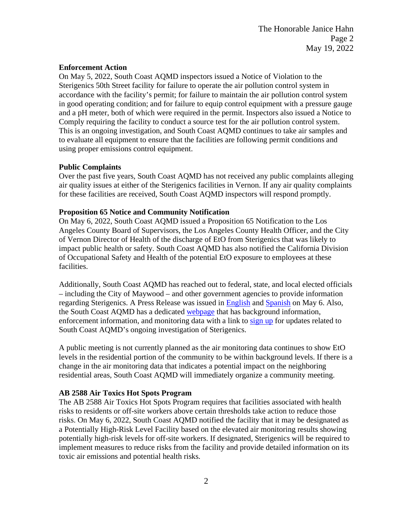### **Enforcement Action**

On May 5, 2022, South Coast AQMD inspectors issued a Notice of Violation to the Sterigenics 50th Street facility for failure to operate the air pollution control system in accordance with the facility's permit; for failure to maintain the air pollution control system in good operating condition; and for failure to equip control equipment with a pressure gauge and a pH meter, both of which were required in the permit. Inspectors also issued a Notice to Comply requiring the facility to conduct a source test for the air pollution control system. This is an ongoing investigation, and South Coast AQMD continues to take air samples and to evaluate all equipment to ensure that the facilities are following permit conditions and using proper emissions control equipment.

## **Public Complaints**

Over the past five years, South Coast AQMD has not received any public complaints alleging air quality issues at either of the Sterigenics facilities in Vernon. If any air quality complaints for these facilities are received, South Coast AQMD inspectors will respond promptly.

## **Proposition 65 Notice and Community Notification**

On May 6, 2022, South Coast AQMD issued a Proposition 65 Notification to the Los Angeles County Board of Supervisors, the Los Angeles County Health Officer, and the City of Vernon Director of Health of the discharge of EtO from Sterigenics that was likely to impact public health or safety. South Coast AQMD has also notified the California Division of Occupational Safety and Health of the potential EtO exposure to employees at these facilities.

Additionally, South Coast AQMD has reached out to federal, state, and local elected officials – including the City of Maywood – and other government agencies to provide information regarding Sterigenics. A Press Release was issued in [English](http://www.aqmd.gov/docs/default-source/news-archive/2022/sterigenics-may6-2022.pdf?sfvrsn=9) and [Spanish](http://www.aqmd.gov/docs/default-source/news-archive/2022/spanish/sterigenics-sp-may6-2022.pdf?sfvrsn=15) on May 6. Also, the South Coast AQMD has a dedicated [webpage](http://www.aqmd.gov/sterigenics) that has background information, enforcement information, and monitoring data with a link to [sign](http://www.aqmd.gov/sign-up) up for updates related to South Coast AQMD's ongoing investigation of Sterigenics.

A public meeting is not currently planned as the air monitoring data continues to show EtO levels in the residential portion of the community to be within background levels. If there is a change in the air monitoring data that indicates a potential impact on the neighboring residential areas, South Coast AQMD will immediately organize a community meeting.

# **AB 2588 Air Toxics Hot Spots Program**

The AB 2588 Air Toxics Hot Spots Program requires that facilities associated with health risks to residents or off-site workers above certain thresholds take action to reduce those risks. On May 6, 2022, South Coast AQMD notified the facility that it may be designated as a Potentially High-Risk Level Facility based on the elevated air monitoring results showing potentially high-risk levels for off-site workers. If designated, Sterigenics will be required to implement measures to reduce risks from the facility and provide detailed information on its toxic air emissions and potential health risks.